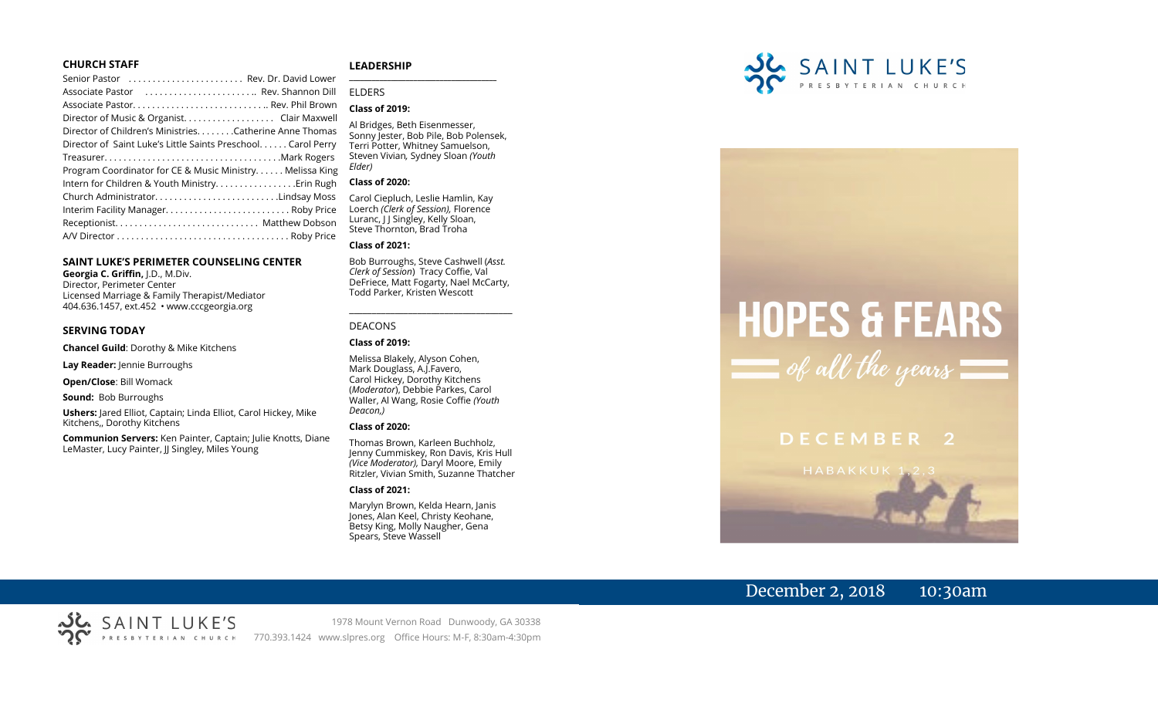### **CHURCH STAFF**

| Senior Pastor  Rev. Dr. David Lower                          |  |
|--------------------------------------------------------------|--|
| Associate Pastor  Rev. Shannon Dill                          |  |
|                                                              |  |
| Director of Music & Organist. Clair Maxwell                  |  |
| Director of Children's Ministries. Catherine Anne Thomas     |  |
| Director of Saint Luke's Little Saints Preschool Carol Perry |  |
|                                                              |  |
| Program Coordinator for CE & Music Ministry Melissa King     |  |
|                                                              |  |
| Church AdministratorLindsay Moss                             |  |
| Interim Facility Manager Roby Price                          |  |
|                                                              |  |
|                                                              |  |
|                                                              |  |

### **SAINT LUKE'S PERIMETER COUNSELING CENTER**

**Georgia C. Griffin,** J.D., M.Div. Director, Perimeter Center Licensed Marriage & Family Therapist/Mediator 404.636.1457, ext.452 • www.cccgeorgia.org

### **SERVING TODAY**

**Chancel Guild**: Dorothy & Mike Kitchens

**Lay Reader:** Jennie Burroughs

**Open/Close**: Bill Womack

**Sound:** Bob Burroughs

**Ushers:** Jared Elliot, Captain; Linda Elliot, Carol Hickey, Mike Kitchens,, Dorothy Kitchens

**Communion Servers:** Ken Painter, Captain; Julie Knotts, Diane LeMaster, Lucy Painter, JJ Singley, Miles Young

### **LEADERSHIP**

ELDERS

### **Class of 2019:**

Al Bridges, Beth Eisenmesser, Sonny Jester, Bob Pile, Bob Polensek, Terri Potter, Whitney Samuelson, Steven Vivian*,* Sydney Sloan *(Youth Elder)*

**\_\_\_\_\_\_\_\_\_\_\_\_\_\_\_\_\_\_\_\_\_\_\_\_\_\_\_\_\_\_\_\_\_\_\_\_\_\_\_**

### **Class of 2020:**

Carol Ciepluch, Leslie Hamlin, Kay Loerch *(Clerk of Session),* Florence Luranc, I J Singley, Kelly Sloan, Steve Thornton, Brad Troha

### **Class of 2021:**

Bob Burroughs, Steve Cashwell (*Asst. Clerk of Session*) Tracy Coffie, Val DeFriece, Matt Fogarty, Nael McCarty, Todd Parker, Kristen Wescott

\_\_\_\_\_\_\_\_\_\_\_\_\_\_\_\_\_\_\_\_\_\_\_\_\_\_\_\_\_\_\_\_\_\_\_\_

### DEACONS

### **Class of 2019:**

Melissa Blakely, Alyson Cohen, Mark Douglass, A.J.Favero, Carol Hickey, Dorothy Kitchens (*Moderator*), Debbie Parkes, Carol Waller, Al Wang, Rosie Coffie *(Youth Deacon,)* 

### **Class of 2020:**

Thomas Brown, Karleen Buchholz, Jenny Cummiskey, Ron Davis, Kris Hull *(Vice Moderator),* Daryl Moore, Emily Ritzler, Vivian Smith, Suzanne Thatcher

### **Class of 2021:**

Marylyn Brown, Kelda Hearn, Janis Jones, Alan Keel, Christy Keohane, Betsy King, Molly Naugher, Gena Spears, Steve Wassell



# **HOPES & FEARS**  $\equiv$  of all the years

# DECEMBER 2

# December 2, 2018 10:30am

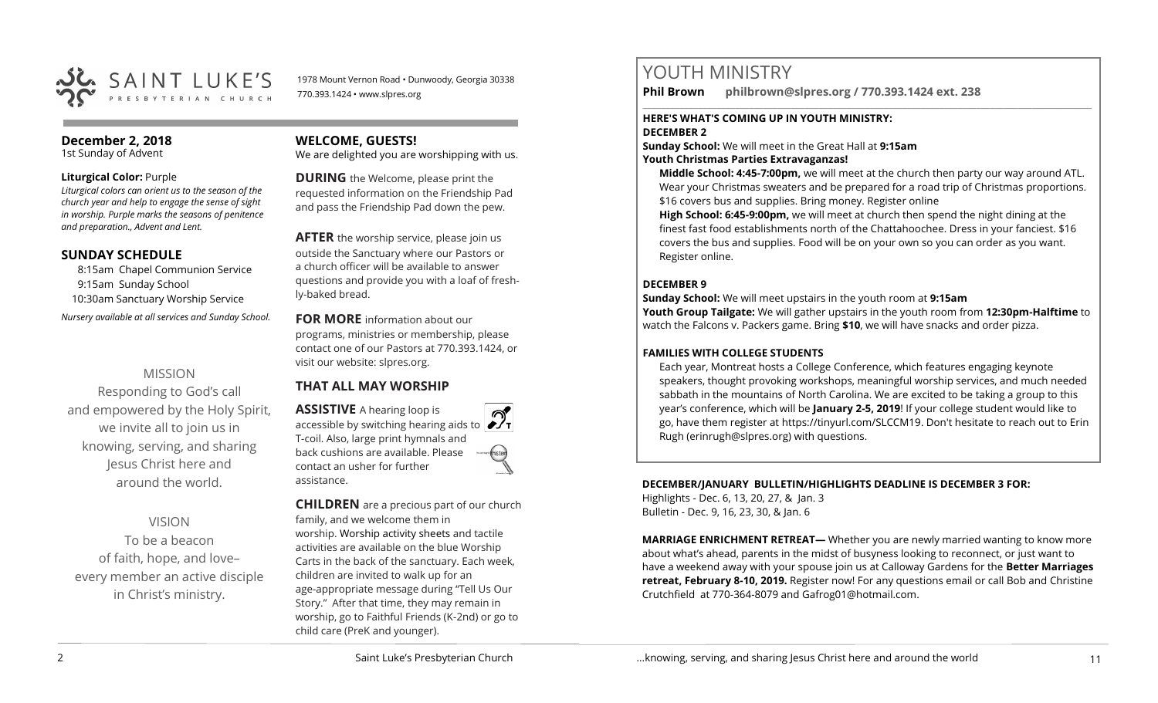

1978 Mount Vernon Road • Dunwoody, Georgia 30338 770.393.1424 • www.slpres.org

# **December 2, 2018**

1st Sunday of Advent

### **Liturgical Color:** Purple

*Liturgical colors can orient us to the season of the church year and help to engage the sense of sight in worship. Purple marks the seasons of penitence and preparation., Advent and Lent.* 

### **SUNDAY SCHEDULE**

8:15am Chapel Communion Service 9:15am Sunday School 10:30am Sanctuary Worship Service *Nursery available at all services and Sunday School.* 

### MISSION

Responding to God's call and empowered by the Holy Spirit, we invite all to join us in knowing, serving, and sharing Jesus Christ here and around the world.

### VISION

To be a beacon of faith, hope, and love– every member an active disciple in Christ's ministry.

### **WELCOME, GUESTS!**

We are delighted you are worshipping with us.

**DURING** the Welcome, please print the requested information on the Friendship Pad and pass the Friendship Pad down the pew.

**AFTER** the worship service, please join us outside the Sanctuary where our Pastors or a church officer will be available to answer questions and provide you with a loaf of freshly-baked bread.

**FOR MORE** information about our programs, ministries or membership, please contact one of our Pastors at 770.393.1424, or visit our website: slpres.org.

## **THAT ALL MAY WORSHIP**

**ASSISTIVE** A hearing loop is accessible by switching hearing aids to T-coil. Also, large print hymnals and back cushions are available. Please contact an usher for further assistance.

**CHILDREN** are a precious part of our church family, and we welcome them in worship. Worship activity sheets and tactile activities are available on the blue Worship Carts in the back of the sanctuary. Each week, children are invited to walk up for an age-appropriate message during "Tell Us Our Story." After that time, they may remain in worship, go to Faithful Friends (K-2nd) or go to child care (PreK and younger).

# YOUTH MINISTRY

**Phil Brown philbrown@slpres.org / 770.393.1424 ext. 238** 

# **HERE'S WHAT'S COMING UP IN YOUTH MINISTRY:**

### **DECEMBER 2**

**Sunday School:** We will meet in the Great Hall at **9:15am**

### **Youth Christmas Parties Extravaganzas!**

**Middle School: 4:45-7:00pm,** we will meet at the church then party our way around ATL. Wear your Christmas sweaters and be prepared for a road trip of Christmas proportions. \$16 covers bus and supplies. Bring money. Register online

 $\_$  ,  $\_$  ,  $\_$  ,  $\_$  ,  $\_$  ,  $\_$  ,  $\_$  ,  $\_$  ,  $\_$  ,  $\_$  ,  $\_$  ,  $\_$  ,  $\_$  ,  $\_$  ,  $\_$  ,  $\_$  ,  $\_$  ,  $\_$  ,  $\_$  ,  $\_$ 

**High School: 6:45-9:00pm,** we will meet at church then spend the night dining at the finest fast food establishments north of the Chattahoochee. Dress in your fanciest. \$16 covers the bus and supplies. Food will be on your own so you can order as you want. Register online.

### **DECEMBER 9**

**Sunday School:** We will meet upstairs in the youth room at **9:15am**

**Youth Group Tailgate:** We will gather upstairs in the youth room from **12:30pm-Halftime** to watch the Falcons v. Packers game. Bring **\$10**, we will have snacks and order pizza.

### **FAMILIES WITH COLLEGE STUDENTS**

Each year, Montreat hosts a College Conference, which features engaging keynote speakers, thought provoking workshops, meaningful worship services, and much needed sabbath in the mountains of North Carolina. We are excited to be taking a group to this year's conference, which will be **January 2-5, 2019**! If your college student would like to go, have them register at [https://tinyurl.com/SLCCM19.](https://tinyurl.com/SLCCM19) Don't hesitate to reach out to Erin Rugh (erinrugh@slpres.org) with questions.

### **DECEMBER/JANUARY BULLETIN/HIGHLIGHTS DEADLINE IS DECEMBER 3 FOR:** Highlights - Dec. 6, 13, 20, 27, & Jan. 3 Bulletin - Dec. 9, 16, 23, 30, & Jan. 6

**MARRIAGE ENRICHMENT RETREAT—** Whether you are newly married wanting to know more about what's ahead, parents in the midst of busyness looking to reconnect, or just want to have a weekend away with your spouse join us at Calloway Gardens for the **Better Marriages retreat, February 8-10, 2019.** Register now! For any questions email or call Bob and Christine Crutchfield at 770-364-8079 and [Gafrog01@hotmail.com.](mailto:Gafrog01@hotmail.com)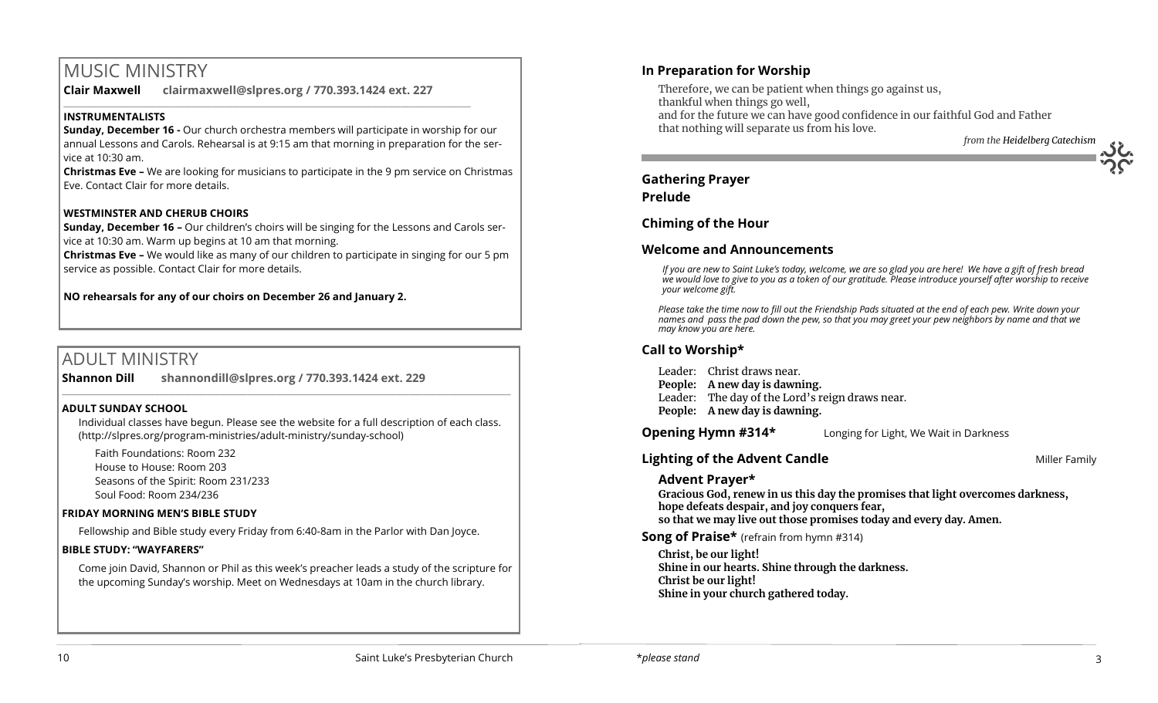# MUSIC MINISTRY

**Clair Maxwell clairmaxwell@slpres.org / 770.393.1424 ext. 227** 

 $\_$  , and the set of the set of the set of the set of the set of the set of the set of the set of the set of the set of the set of the set of the set of the set of the set of the set of the set of the set of the set of th

### **INSTRUMENTALISTS**

**Sunday, December 16 -** Our church orchestra members will participate in worship for our annual Lessons and Carols. Rehearsal is at 9:15 am that morning in preparation for the service at 10:30 am.

**Christmas Eve –** We are looking for musicians to participate in the 9 pm service on Christmas Eve. Contact Clair for more details.

### **WESTMINSTER AND CHERUB CHOIRS**

**Sunday, December 16 –** Our children's choirs will be singing for the Lessons and Carols service at 10:30 am. Warm up begins at 10 am that morning.

**Christmas Eve –** We would like as many of our children to participate in singing for our 5 pm service as possible. Contact Clair for more details.

**NO rehearsals for any of our choirs on December 26 and January 2.**

# ADULT MINISTRY

**Shannon Dill shannondill@slpres.org / 770.393.1424 ext. 229** 

### **ADULT SUNDAY SCHOOL**

Individual classes have begun. Please see the website for a full description of each class. (http://slpres.org/program-ministries/adult-ministry/sunday-school)

 $\_$  ,  $\_$  ,  $\_$  ,  $\_$  ,  $\_$  ,  $\_$  ,  $\_$  ,  $\_$  ,  $\_$  ,  $\_$  ,  $\_$  ,  $\_$  ,  $\_$  ,  $\_$  ,  $\_$  ,  $\_$  ,  $\_$  ,  $\_$  ,  $\_$ 

Faith Foundations: Room 232 House to House: Room 203 Seasons of the Spirit: Room 231/233 Soul Food: Room 234/236

### **FRIDAY MORNING MEN'S BIBLE STUDY**

Fellowship and Bible study every Friday from 6:40-8am in the Parlor with Dan Joyce.

### **BIBLE STUDY: "WAYFARERS"**

Come join David, Shannon or Phil as this week's preacher leads a study of the scripture for the upcoming Sunday's worship. Meet on Wednesdays at 10am in the church library.

### **In Preparation for Worship**

Therefore, we can be patient when things go against us, thankful when things go well, and for the future we can have good confidence in our faithful God and Father that nothing will separate us from his love. *from the Heidelberg Catechism*

# **Gathering Prayer**

### **Prelude**

### **Chiming of the Hour**

### **Welcome and Announcements**

*If you are new to Saint Luke's today, welcome, we are so glad you are here! We have a gift of fresh bread we would love to give to you as a token of our gratitude. Please introduce yourself after worship to receive your welcome gift.*

*Please take the time now to fill out the Friendship Pads situated at the end of each pew. Write down your names and pass the pad down the pew, so that you may greet your pew neighbors by name and that we may know you are here.*

### **Call to Worship\***

Leader: Christ draws near. **People: A new day is dawning.** Leader: The day of the Lord's reign draws near. **People: A new day is dawning.**

**Opening Hymn #314\*** Longing for Light, We Wait in Darkness

### **Lighting of the Advent Candle Miller Family Miller Family**

### **Advent Prayer\***

**Gracious God, renew in us this day the promises that light overcomes darkness, hope defeats despair, and joy conquers fear, so that we may live out those promises today and every day. Amen.** 

**Song of Praise\*** (refrain from hymn #314)

**Christ, be our light! Shine in our hearts. Shine through the darkness. Christ be our light! Shine in your church gathered today.**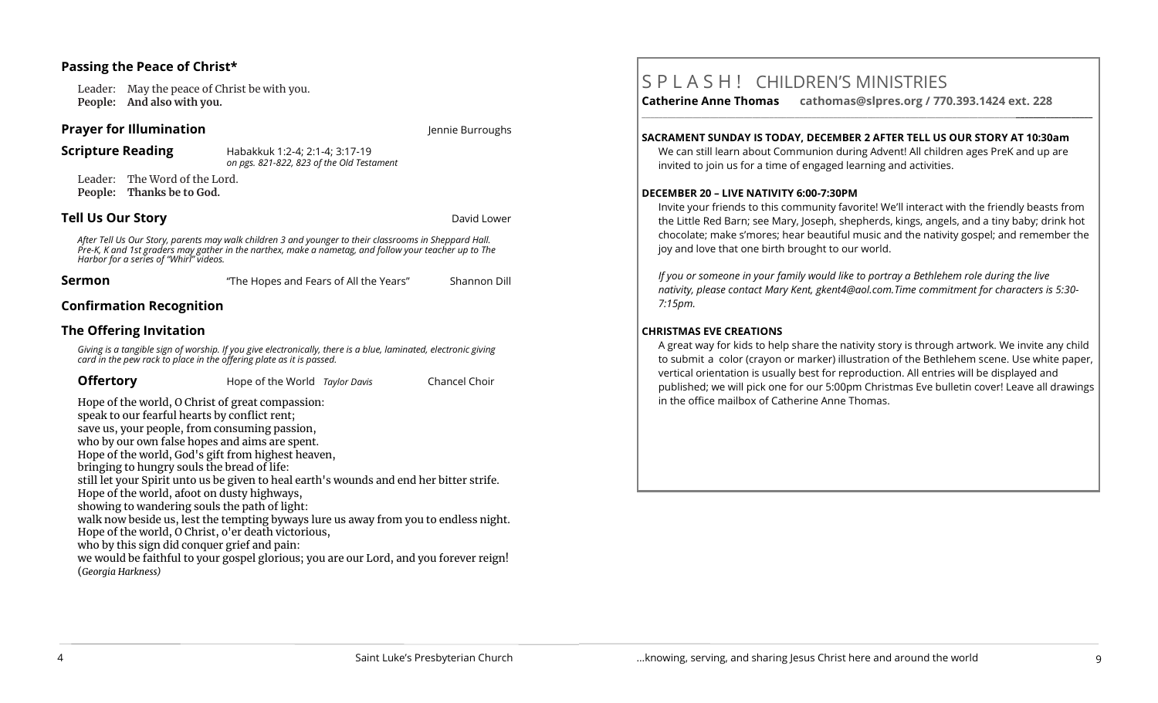### **Passing the Peace of Christ\***

Leader: May the peace of Christ be with you. **People: And also with you.** 

### **Prayer for Illumination** *Jennie Burroughs Jennie Burroughs*

**Scripture Reading** Habakkuk 1:2-4; 2:1-4; 3:17-19 *on pgs. 821-822, 823 of the Old Testament*

Leader: The Word of the Lord. **People: Thanks be to God.** 

### **Tell Us Our Story David Lower Story <b>David Lower Story David Lower** David Lower

*After Tell Us Our Story, parents may walk children 3 and younger to their classrooms in Sheppard Hall. Pre-K, K and 1st graders may gather in the narthex, make a nametag, and follow your teacher up to The Harbor for a series of "Whirl" videos.*

| Sermon | "The Hopes and Fears of All the Years" | Shannon Dill |
|--------|----------------------------------------|--------------|
|--------|----------------------------------------|--------------|

### **Confirmation Recognition**

### **The Offering Invitation**

*Giving is a tangible sign of worship. If you give electronically, there is a blue, laminated, electronic giving card in the pew rack to place in the offering plate as it is passed.*

| <b>Offertory</b> | Hope of the World Taylor Davis |  | Chancel Choir |
|------------------|--------------------------------|--|---------------|
|------------------|--------------------------------|--|---------------|

Hope of the world, O Christ of great compassion: speak to our fearful hearts by conflict rent; save us, your people, from consuming passion, who by our own false hopes and aims are spent. Hope of the world, God's gift from highest heaven, bringing to hungry souls the bread of life: still let your Spirit unto us be given to heal earth's wounds and end her bitter strife. Hope of the world, afoot on dusty highways, showing to wandering souls the path of light: walk now beside us, lest the tempting byways lure us away from you to endless night. Hope of the world, O Christ, o'er death victorious, who by this sign did conquer grief and pain:

we would be faithful to your gospel glorious; you are our Lord, and you forever reign! (*Georgia Harkness)*

# S P L A S H ! CHILDREN'S MINISTRIES

**Catherine Anne Thomas cathomas@slpres.org / 770.393.1424 ext. 228 \_\_\_\_\_\_\_\_\_\_\_\_\_\_\_\_\_\_\_\_\_\_\_\_\_\_\_\_\_\_\_\_\_\_\_\_\_\_\_\_\_\_\_\_\_\_\_\_\_\_\_\_\_\_\_\_\_\_\_\_\_\_\_\_\_\_\_\_\_\_\_\_\_\_\_\_\_\_\_\_\_\_\_\_\_\_\_\_\_\_\_\_\_\_\_\_\_\_\_\_\_\_\_\_\_\_** 

### **SACRAMENT SUNDAY IS TODAY, DECEMBER 2 AFTER TELL US OUR STORY AT 10:30am**

We can still learn about Communion during Advent! All children ages PreK and up are invited to join us for a time of engaged learning and activities.

### **DECEMBER 20 – LIVE NATIVITY 6:00-7:30PM**

Invite your friends to this community favorite! We'll interact with the friendly beasts from the Little Red Barn; see Mary, Joseph, shepherds, kings, angels, and a tiny baby; drink hot chocolate; make s'mores; hear beautiful music and the nativity gospel; and remember the joy and love that one birth brought to our world.

*If you or someone in your family would like to portray a Bethlehem role during the live nativity, please contact Mary Kent, [gkent4@aol.com.T](mailto:gkent4@aol.com)ime commitment for characters is 5:30- 7:15pm.*

### **CHRISTMAS EVE CREATIONS**

A great way for kids to help share the nativity story is through artwork. We invite any child to submit a color (crayon or marker) illustration of the Bethlehem scene. Use white paper, vertical orientation is usually best for reproduction. All entries will be displayed and published; we will pick one for our 5:00pm Christmas Eve bulletin cover! Leave all drawings in the office mailbox of Catherine Anne Thomas.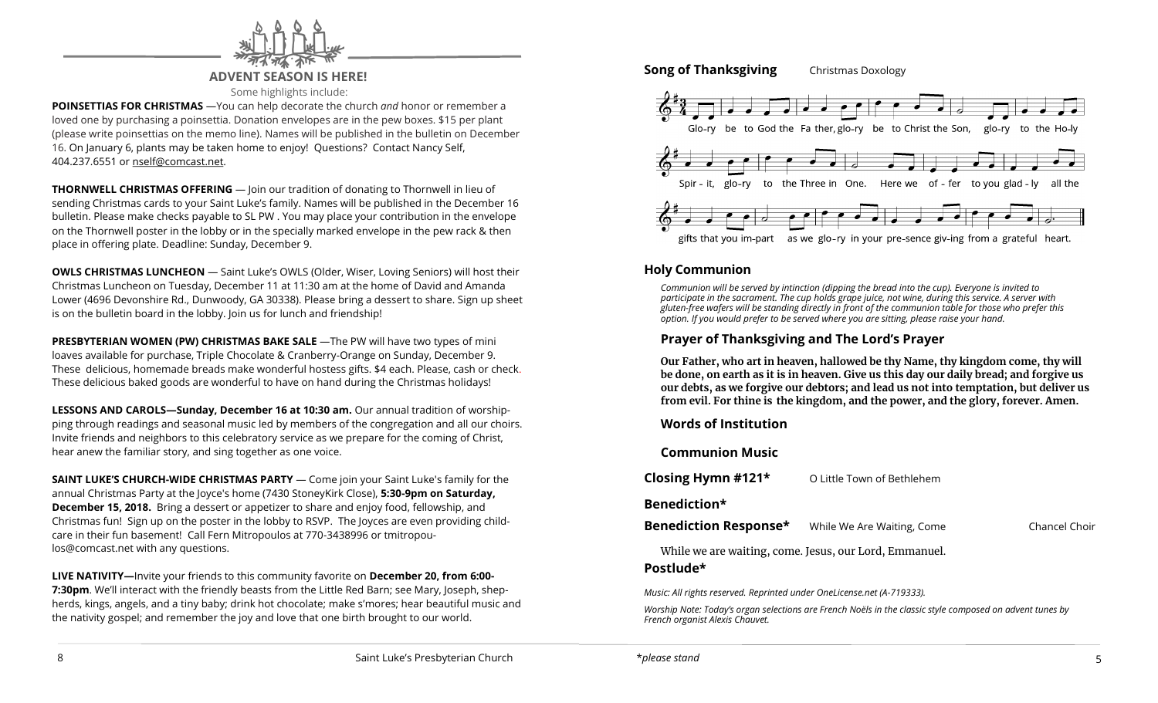

### **ADVENT SEASON IS HERE!**

Some highlights include:

**POINSETTIAS FOR CHRISTMAS** —You can help decorate the church *and* honor or remember a loved one by purchasing a poinsettia. Donation envelopes are in the pew boxes. \$15 per plant (please write poinsettias on the memo line). Names will be published in the bulletin on December 16. On January 6, plants may be taken home to enjoy! Questions? Contact Nancy Self, 404.237.6551 or nself@comcast.net.

**THORNWELL CHRISTMAS OFFERING** — Join our tradition of donating to Thornwell in lieu of sending Christmas cards to your Saint Luke's family. Names will be published in the December 16 bulletin. Please make checks payable to SL PW . You may place your contribution in the envelope on the Thornwell poster in the lobby or in the specially marked envelope in the pew rack & then place in offering plate. Deadline: Sunday, December 9.

**OWLS CHRISTMAS LUNCHEON** — Saint Luke's OWLS (Older, Wiser, Loving Seniors) will host their Christmas Luncheon on Tuesday, December 11 at 11:30 am at the home of David and Amanda Lower (4696 Devonshire Rd., Dunwoody, GA 30338). Please bring a dessert to share. Sign up sheet is on the bulletin board in the lobby. Join us for lunch and friendship!

**PRESBYTERIAN WOMEN (PW) CHRISTMAS BAKE SALE** —The PW will have two types of mini loaves available for purchase, Triple Chocolate & Cranberry-Orange on Sunday, December 9. These delicious, homemade breads make wonderful hostess gifts. \$4 each. Please, cash or check. These delicious baked goods are wonderful to have on hand during the Christmas holidays!

**LESSONS AND CAROLS—Sunday, December 16 at 10:30 am.** Our annual tradition of worshipping through readings and seasonal music led by members of the congregation and all our choirs. Invite friends and neighbors to this celebratory service as we prepare for the coming of Christ, hear anew the familiar story, and sing together as one voice.

**SAINT LUKE'S CHURCH-WIDE CHRISTMAS PARTY** — Come join your Saint Luke's family for the annual Christmas Party at the Joyce's home (7430 StoneyKirk Close), **5:30-9pm on Saturday, December 15, 2018.** Bring a dessert or appetizer to share and enjoy food, fellowship, and Christmas fun! Sign up on the poster in the lobby to RSVP. The Joyces are even providing childcare in their fun basement! Call Fern Mitropoulos at 770-3438996 or [tmitropou](mailto:tmitropoulos@comcast.net)[los@comcast.net](mailto:tmitropoulos@comcast.net) with any questions.

**LIVE NATIVITY—**Invite your friends to this community favorite on **December 20, from 6:00- 7:30pm**. We'll interact with the friendly beasts from the Little Red Barn; see Mary, Joseph, shepherds, kings, angels, and a tiny baby; drink hot chocolate; make s'mores; hear beautiful music and the nativity gospel; and remember the joy and love that one birth brought to our world.

### **Song of Thanksgiving** Christmas Doxology



### **Holy Communion**

*Communion will be served by intinction (dipping the bread into the cup). Everyone is invited to participate in the sacrament. The cup holds grape juice, not wine, during this service. A server with gluten-free wafers will be standing directly in front of the communion table for those who prefer this option. If you would prefer to be served where you are sitting, please raise your hand.*

### **Prayer of Thanksgiving and The Lord's Prayer**

**Our Father, who art in heaven, hallowed be thy Name, thy kingdom come, thy will be done, on earth as it is in heaven. Give us this day our daily bread; and forgive us our debts, as we forgive our debtors; and lead us not into temptation, but deliver us from evil. For thine is the kingdom, and the power, and the glory, forever. Amen.**

### **Words of Institution**

**Communion Music**

**Closing Hymn #121\*** O Little Town of Bethlehem

### **Benediction\***

**Benediction Response\*** While We Are Waiting, Come Chancel Choir

While we are waiting, come. Jesus, our Lord, Emmanuel.

### **Postlude\***

*Music: All rights reserved. Reprinted under OneLicense.net (A-719333).* 

*Worship Note: Today's organ selections are French Noëls in the classic style composed on advent tunes by French organist Alexis Chauvet.*